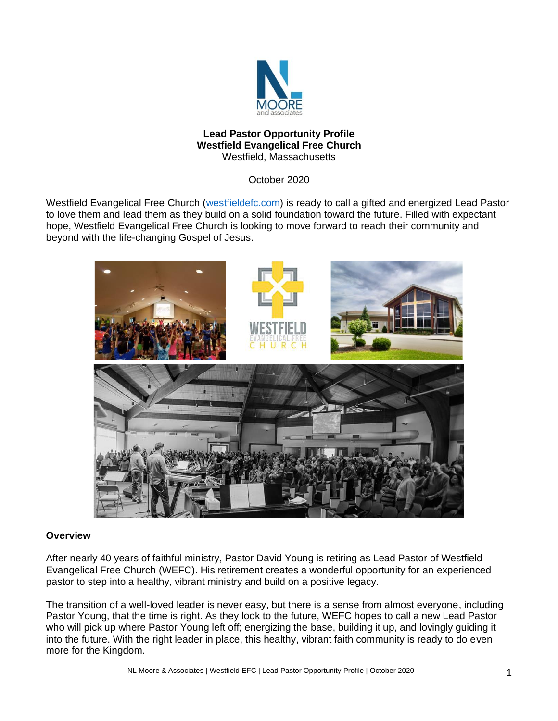

#### **Lead Pastor Opportunity Profile Westfield Evangelical Free Church** Westfield, Massachusetts

October 2020

Westfield Evangelical Free Church [\(westfieldefc.com\)](http://www.westfieldefc.com/) is ready to call a gifted and energized Lead Pastor to love them and lead them as they build on a solid foundation toward the future. Filled with expectant hope, Westfield Evangelical Free Church is looking to move forward to reach their community and beyond with the life-changing Gospel of Jesus.



### **Overview**

After nearly 40 years of faithful ministry, Pastor David Young is retiring as Lead Pastor of Westfield Evangelical Free Church (WEFC). His retirement creates a wonderful opportunity for an experienced pastor to step into a healthy, vibrant ministry and build on a positive legacy.

The transition of a well-loved leader is never easy, but there is a sense from almost everyone, including Pastor Young, that the time is right. As they look to the future, WEFC hopes to call a new Lead Pastor who will pick up where Pastor Young left off; energizing the base, building it up, and lovingly guiding it into the future. With the right leader in place, this healthy, vibrant faith community is ready to do even more for the Kingdom.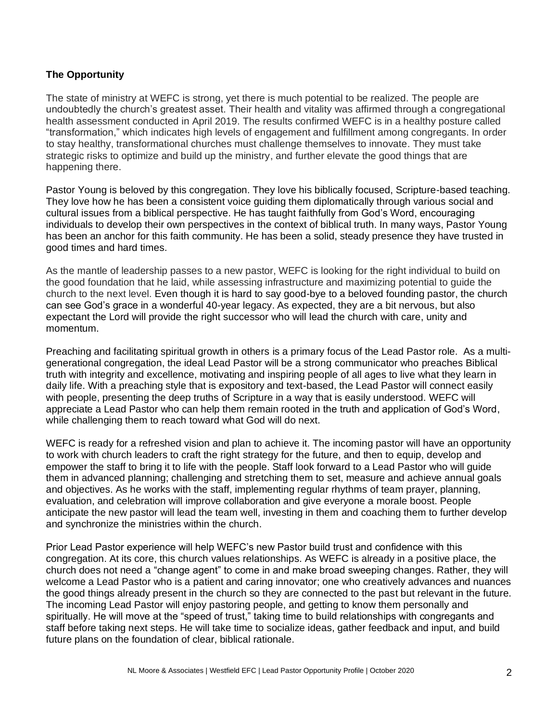# **The Opportunity**

The state of ministry at WEFC is strong, yet there is much potential to be realized. The people are undoubtedly the church's greatest asset. Their health and vitality was affirmed through a congregational health assessment conducted in April 2019. The results confirmed WEFC is in a healthy posture called "transformation," which indicates high levels of engagement and fulfillment among congregants. In order to stay healthy, transformational churches must challenge themselves to innovate. They must take strategic risks to optimize and build up the ministry, and further elevate the good things that are happening there.

Pastor Young is beloved by this congregation. They love his biblically focused, Scripture-based teaching. They love how he has been a consistent voice guiding them diplomatically through various social and cultural issues from a biblical perspective. He has taught faithfully from God's Word, encouraging individuals to develop their own perspectives in the context of biblical truth. In many ways, Pastor Young has been an anchor for this faith community. He has been a solid, steady presence they have trusted in good times and hard times.

As the mantle of leadership passes to a new pastor, WEFC is looking for the right individual to build on the good foundation that he laid, while assessing infrastructure and maximizing potential to guide the church to the next level. Even though it is hard to say good-bye to a beloved founding pastor, the church can see God's grace in a wonderful 40-year legacy. As expected, they are a bit nervous, but also expectant the Lord will provide the right successor who will lead the church with care, unity and momentum.

Preaching and facilitating spiritual growth in others is a primary focus of the Lead Pastor role. As a multigenerational congregation, the ideal Lead Pastor will be a strong communicator who preaches Biblical truth with integrity and excellence, motivating and inspiring people of all ages to live what they learn in daily life. With a preaching style that is expository and text-based, the Lead Pastor will connect easily with people, presenting the deep truths of Scripture in a way that is easily understood. WEFC will appreciate a Lead Pastor who can help them remain rooted in the truth and application of God's Word, while challenging them to reach toward what God will do next.

WEFC is ready for a refreshed vision and plan to achieve it. The incoming pastor will have an opportunity to work with church leaders to craft the right strategy for the future, and then to equip, develop and empower the staff to bring it to life with the people. Staff look forward to a Lead Pastor who will guide them in advanced planning; challenging and stretching them to set, measure and achieve annual goals and objectives. As he works with the staff, implementing regular rhythms of team prayer, planning, evaluation, and celebration will improve collaboration and give everyone a morale boost. People anticipate the new pastor will lead the team well, investing in them and coaching them to further develop and synchronize the ministries within the church.

Prior Lead Pastor experience will help WEFC's new Pastor build trust and confidence with this congregation. At its core, this church values relationships. As WEFC is already in a positive place, the church does not need a "change agent" to come in and make broad sweeping changes. Rather, they will welcome a Lead Pastor who is a patient and caring innovator; one who creatively advances and nuances the good things already present in the church so they are connected to the past but relevant in the future. The incoming Lead Pastor will enjoy pastoring people, and getting to know them personally and spiritually. He will move at the "speed of trust," taking time to build relationships with congregants and staff before taking next steps. He will take time to socialize ideas, gather feedback and input, and build future plans on the foundation of clear, biblical rationale.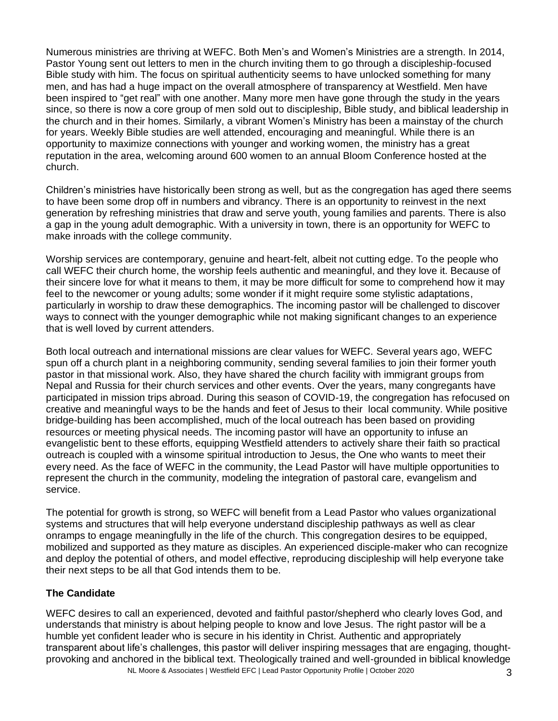Numerous ministries are thriving at WEFC. Both Men's and Women's Ministries are a strength. In 2014, Pastor Young sent out letters to men in the church inviting them to go through a discipleship-focused Bible study with him. The focus on spiritual authenticity seems to have unlocked something for many men, and has had a huge impact on the overall atmosphere of transparency at Westfield. Men have been inspired to "get real" with one another. Many more men have gone through the study in the years since, so there is now a core group of men sold out to discipleship, Bible study, and biblical leadership in the church and in their homes. Similarly, a vibrant Women's Ministry has been a mainstay of the church for years. Weekly Bible studies are well attended, encouraging and meaningful. While there is an opportunity to maximize connections with younger and working women, the ministry has a great reputation in the area, welcoming around 600 women to an annual Bloom Conference hosted at the church.

Children's ministries have historically been strong as well, but as the congregation has aged there seems to have been some drop off in numbers and vibrancy. There is an opportunity to reinvest in the next generation by refreshing ministries that draw and serve youth, young families and parents. There is also a gap in the young adult demographic. With a university in town, there is an opportunity for WEFC to make inroads with the college community.

Worship services are contemporary, genuine and heart-felt, albeit not cutting edge. To the people who call WEFC their church home, the worship feels authentic and meaningful, and they love it. Because of their sincere love for what it means to them, it may be more difficult for some to comprehend how it may feel to the newcomer or young adults; some wonder if it might require some stylistic adaptations, particularly in worship to draw these demographics. The incoming pastor will be challenged to discover ways to connect with the younger demographic while not making significant changes to an experience that is well loved by current attenders.

Both local outreach and international missions are clear values for WEFC. Several years ago, WEFC spun off a church plant in a neighboring community, sending several families to join their former youth pastor in that missional work. Also, they have shared the church facility with immigrant groups from Nepal and Russia for their church services and other events. Over the years, many congregants have participated in mission trips abroad. During this season of COVID-19, the congregation has refocused on creative and meaningful ways to be the hands and feet of Jesus to their local community. While positive bridge-building has been accomplished, much of the local outreach has been based on providing resources or meeting physical needs. The incoming pastor will have an opportunity to infuse an evangelistic bent to these efforts, equipping Westfield attenders to actively share their faith so practical outreach is coupled with a winsome spiritual introduction to Jesus, the One who wants to meet their every need. As the face of WEFC in the community, the Lead Pastor will have multiple opportunities to represent the church in the community, modeling the integration of pastoral care, evangelism and service.

The potential for growth is strong, so WEFC will benefit from a Lead Pastor who values organizational systems and structures that will help everyone understand discipleship pathways as well as clear onramps to engage meaningfully in the life of the church. This congregation desires to be equipped, mobilized and supported as they mature as disciples. An experienced disciple-maker who can recognize and deploy the potential of others, and model effective, reproducing discipleship will help everyone take their next steps to be all that God intends them to be.

### **The Candidate**

NL Moore & Associates | Westfield EFC | Lead Pastor Opportunity Profile | October 2020 3 WEFC desires to call an experienced, devoted and faithful pastor/shepherd who clearly loves God, and understands that ministry is about helping people to know and love Jesus. The right pastor will be a humble yet confident leader who is secure in his identity in Christ. Authentic and appropriately transparent about life's challenges, this pastor will deliver inspiring messages that are engaging, thoughtprovoking and anchored in the biblical text. Theologically trained and well-grounded in biblical knowledge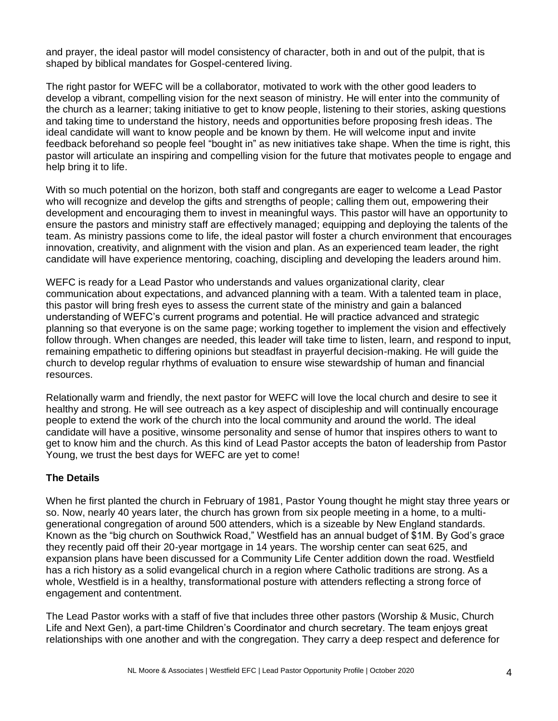and prayer, the ideal pastor will model consistency of character, both in and out of the pulpit, that is shaped by biblical mandates for Gospel-centered living.

The right pastor for WEFC will be a collaborator, motivated to work with the other good leaders to develop a vibrant, compelling vision for the next season of ministry. He will enter into the community of the church as a learner; taking initiative to get to know people, listening to their stories, asking questions and taking time to understand the history, needs and opportunities before proposing fresh ideas. The ideal candidate will want to know people and be known by them. He will welcome input and invite feedback beforehand so people feel "bought in" as new initiatives take shape. When the time is right, this pastor will articulate an inspiring and compelling vision for the future that motivates people to engage and help bring it to life.

With so much potential on the horizon, both staff and congregants are eager to welcome a Lead Pastor who will recognize and develop the gifts and strengths of people; calling them out, empowering their development and encouraging them to invest in meaningful ways. This pastor will have an opportunity to ensure the pastors and ministry staff are effectively managed; equipping and deploying the talents of the team. As ministry passions come to life, the ideal pastor will foster a church environment that encourages innovation, creativity, and alignment with the vision and plan. As an experienced team leader, the right candidate will have experience mentoring, coaching, discipling and developing the leaders around him.

WEFC is ready for a Lead Pastor who understands and values organizational clarity, clear communication about expectations, and advanced planning with a team. With a talented team in place, this pastor will bring fresh eyes to assess the current state of the ministry and gain a balanced understanding of WEFC's current programs and potential. He will practice advanced and strategic planning so that everyone is on the same page; working together to implement the vision and effectively follow through. When changes are needed, this leader will take time to listen, learn, and respond to input, remaining empathetic to differing opinions but steadfast in prayerful decision-making. He will guide the church to develop regular rhythms of evaluation to ensure wise stewardship of human and financial resources.

Relationally warm and friendly, the next pastor for WEFC will love the local church and desire to see it healthy and strong. He will see outreach as a key aspect of discipleship and will continually encourage people to extend the work of the church into the local community and around the world. The ideal candidate will have a positive, winsome personality and sense of humor that inspires others to want to get to know him and the church. As this kind of Lead Pastor accepts the baton of leadership from Pastor Young, we trust the best days for WEFC are yet to come!

### **The Details**

When he first planted the church in February of 1981, Pastor Young thought he might stay three years or so. Now, nearly 40 years later, the church has grown from six people meeting in a home, to a multigenerational congregation of around 500 attenders, which is a sizeable by New England standards. Known as the "big church on Southwick Road," Westfield has an annual budget of \$1M. By God's grace they recently paid off their 20-year mortgage in 14 years. The worship center can seat 625, and expansion plans have been discussed for a Community Life Center addition down the road. Westfield has a rich history as a solid evangelical church in a region where Catholic traditions are strong. As a whole, Westfield is in a healthy, transformational posture with attenders reflecting a strong force of engagement and contentment.

The Lead Pastor works with a staff of five that includes three other pastors (Worship & Music, Church Life and Next Gen), a part-time Children's Coordinator and church secretary. The team enjoys great relationships with one another and with the congregation. They carry a deep respect and deference for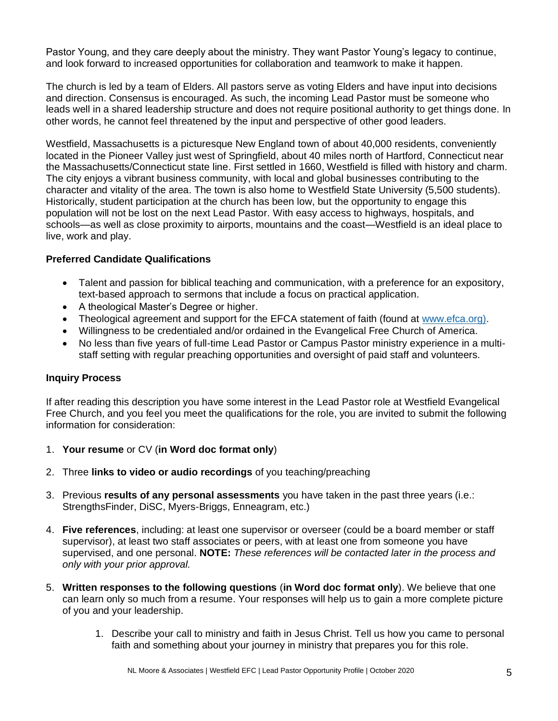Pastor Young, and they care deeply about the ministry. They want Pastor Young's legacy to continue, and look forward to increased opportunities for collaboration and teamwork to make it happen.

The church is led by a team of Elders. All pastors serve as voting Elders and have input into decisions and direction. Consensus is encouraged. As such, the incoming Lead Pastor must be someone who leads well in a shared leadership structure and does not require positional authority to get things done. In other words, he cannot feel threatened by the input and perspective of other good leaders.

Westfield, Massachusetts is a picturesque New England town of about 40,000 residents, conveniently located in the Pioneer Valley just west of Springfield, about 40 miles north of Hartford, Connecticut near the Massachusetts/Connecticut state line. First settled in 1660, Westfield is filled with history and charm. The city enjoys a vibrant business community, with local and global businesses contributing to the character and vitality of the area. The town is also home to Westfield State University (5,500 students). Historically, student participation at the church has been low, but the opportunity to engage this population will not be lost on the next Lead Pastor. With easy access to highways, hospitals, and schools—as well as close proximity to airports, mountains and the coast—Westfield is an ideal place to live, work and play.

# **Preferred Candidate Qualifications**

- Talent and passion for biblical teaching and communication, with a preference for an expository, text-based approach to sermons that include a focus on practical application.
- A theological Master's Degree or higher.
- Theological agreement and support for the EFCA statement of faith (found at [www.efca.org\).](http://www.efca.org)/)
- Willingness to be credentialed and/or ordained in the Evangelical Free Church of America.
- No less than five years of full-time Lead Pastor or Campus Pastor ministry experience in a multistaff setting with regular preaching opportunities and oversight of paid staff and volunteers.

### **Inquiry Process**

If after reading this description you have some interest in the Lead Pastor role at Westfield Evangelical Free Church, and you feel you meet the qualifications for the role, you are invited to submit the following information for consideration:

- 1. **Your resume** or CV (**in Word doc format only**)
- 2. Three **links to video or audio recordings** of you teaching/preaching
- 3. Previous **results of any personal assessments** you have taken in the past three years (i.e.: StrengthsFinder, DiSC, Myers-Briggs, Enneagram, etc.)
- 4. **Five references**, including: at least one supervisor or overseer (could be a board member or staff supervisor), at least two staff associates or peers, with at least one from someone you have supervised, and one personal. **NOTE:** *These references will be contacted later in the process and only with your prior approval.*
- 5. **Written responses to the following questions** (**in Word doc format only**). We believe that one can learn only so much from a resume. Your responses will help us to gain a more complete picture of you and your leadership.
	- 1. Describe your call to ministry and faith in Jesus Christ. Tell us how you came to personal faith and something about your journey in ministry that prepares you for this role.